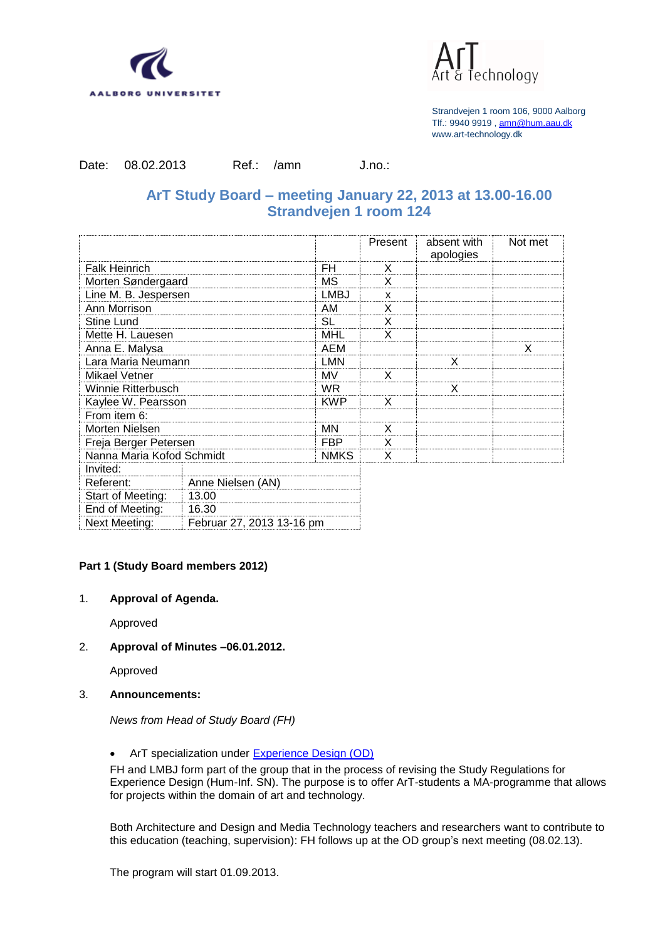



| Date: 08.02.2013<br>Ref.: /amn |  |  |  |  | J.no.: |
|--------------------------------|--|--|--|--|--------|
|--------------------------------|--|--|--|--|--------|

# **ArT Study Board – meeting January 22, 2013 at 13.00-16.00 Strandvejen 1 room 124**

|                                                   |                   |             | Present | absent with<br>apologies | Not met |
|---------------------------------------------------|-------------------|-------------|---------|--------------------------|---------|
| <b>Falk Heinrich</b>                              |                   | FH          | X       |                          |         |
| Morten Søndergaard                                |                   | <b>MS</b>   | X       |                          |         |
| Line M. B. Jespersen                              |                   | <b>LMBJ</b> | X       |                          |         |
| Ann Morrison                                      |                   | AM          | X       |                          |         |
| <b>Stine Lund</b>                                 |                   | SL          | X       |                          |         |
| Mette H. Lauesen                                  |                   | <b>MHL</b>  | X       |                          |         |
| Anna E. Malysa                                    |                   | <b>AEM</b>  |         |                          | X       |
| Lara Maria Neumann                                |                   | <b>LMN</b>  |         | X                        |         |
| Mikael Vetner                                     |                   | MV          | X       |                          |         |
| Winnie Ritterbusch                                |                   | WR.         |         | X                        |         |
| Kaylee W. Pearsson                                |                   | <b>KWP</b>  | X       |                          |         |
| From item 6:                                      |                   |             |         |                          |         |
| Morten Nielsen                                    |                   | <b>MN</b>   | X       |                          |         |
| Freja Berger Petersen                             |                   | <b>FBP</b>  | X       |                          |         |
| Nanna Maria Kofod Schmidt                         |                   | <b>NMKS</b> | X       |                          |         |
| Invited:                                          |                   |             |         |                          |         |
| Referent:                                         | Anne Nielsen (AN) |             |         |                          |         |
| Start of Meeting:                                 | 13.00             |             |         |                          |         |
| End of Meeting:                                   | 16.30             |             |         |                          |         |
| <b>Next Meeting:</b><br>Februar 27, 2013 13-16 pm |                   |             |         |                          |         |

## **Part 1 (Study Board members 2012)**

1. **Approval of Agenda.**

Approved

2. **Approval of Minutes –06.01.2012.**

Approved

3. **Announcements:**

*News from Head of Study Board (FH)*

• ArT specialization under [Experience Design](http://fak.hum.aau.dk/fileadmin/FAK/studieordninger/ka_oplevelsesdesign.pdf) (OD)

FH and LMBJ form part of the group that in the process of revising the Study Regulations for Experience Design (Hum-Inf. SN). The purpose is to offer ArT-students a MA-programme that allows for projects within the domain of art and technology.

Both Architecture and Design and Media Technology teachers and researchers want to contribute to this education (teaching, supervision): FH follows up at the OD group's next meeting (08.02.13).

The program will start 01.09.2013.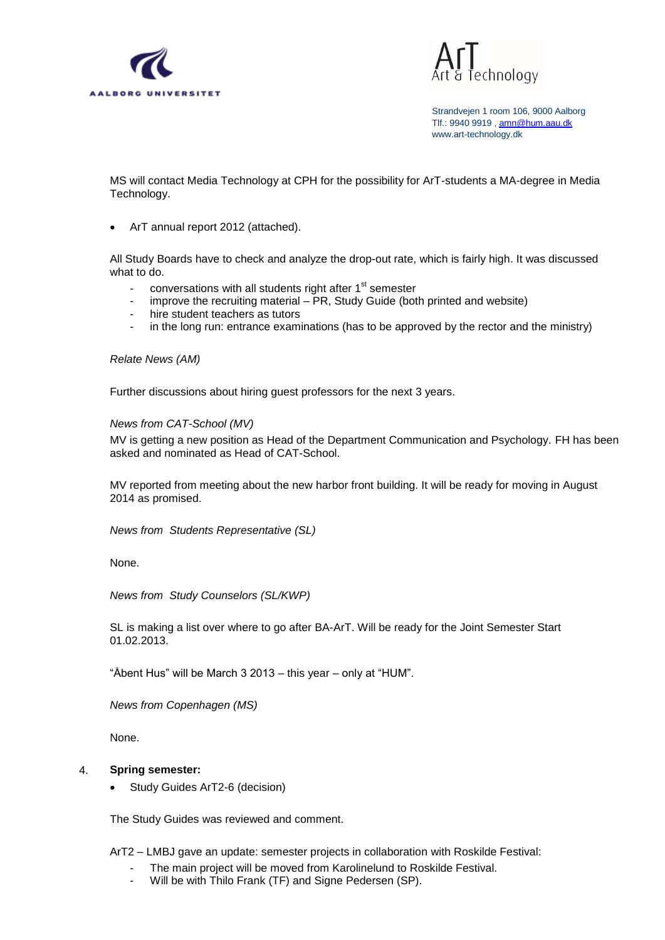



MS will contact Media Technology at CPH for the possibility for ArT-students a MA-degree in Media Technology.

ArT annual report 2012 (attached).

All Study Boards have to check and analyze the drop-out rate, which is fairly high. It was discussed what to do.

- conversations with all students right after  $1<sup>st</sup>$  semester
- improve the recruiting material  $-$  PR, Study Guide (both printed and website)
- hire student teachers as tutors
- in the long run: entrance examinations (has to be approved by the rector and the ministry)

#### *Relate News (AM)*

Further discussions about hiring guest professors for the next 3 years.

#### *News from CAT-School (MV)*

MV is getting a new position as Head of the Department Communication and Psychology. FH has been asked and nominated as Head of CAT-School.

MV reported from meeting about the new harbor front building. It will be ready for moving in August 2014 as promised.

*News from Students Representative (SL)*

None.

*News from Study Counselors (SL/KWP)*

SL is making a list over where to go after BA-ArT. Will be ready for the Joint Semester Start 01.02.2013.

"Åbent Hus" will be March 3 2013 – this year – only at "HUM".

*News from Copenhagen (MS)*

None.

#### 4. **Spring semester:**

Study Guides ArT2-6 (decision)

The Study Guides was reviewed and comment.

ArT2 – LMBJ gave an update: semester projects in collaboration with Roskilde Festival:

- The main project will be moved from Karolinelund to Roskilde Festival.
- Will be with Thilo Frank (TF) and Signe Pedersen (SP).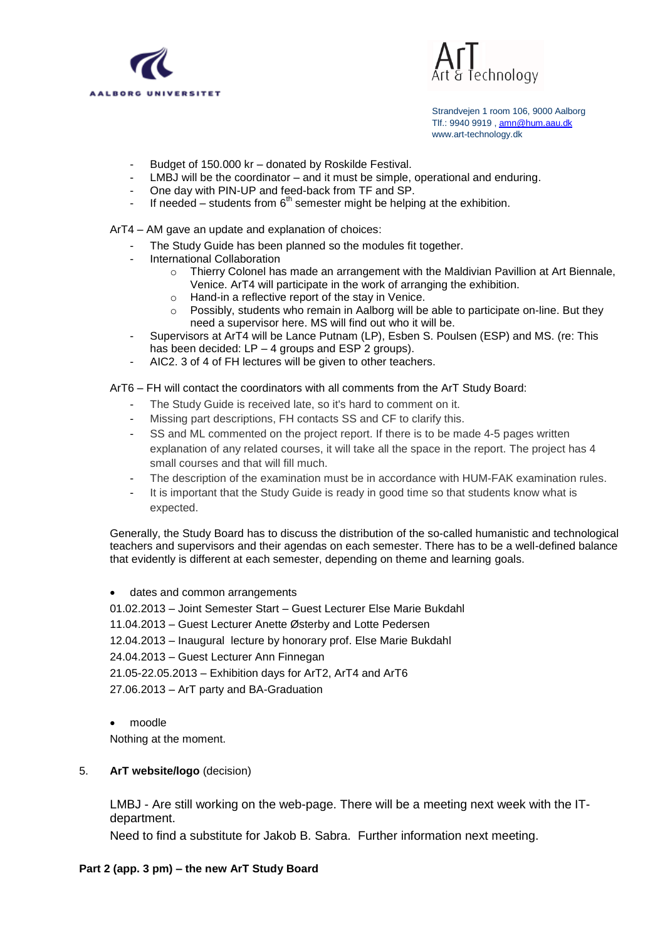



- Budget of 150.000 kr donated by Roskilde Festival.
- $LMBJ$  will be the coordinator and it must be simple, operational and enduring.
- One day with PIN-UP and feed-back from TF and SP.
- If needed students from  $6<sup>th</sup>$  semester might be helping at the exhibition.

ArT4 – AM gave an update and explanation of choices:

- The Study Guide has been planned so the modules fit together.
- International Collaboration
	- $\circ$  Thierry Colonel has made an arrangement with the Maldivian Pavillion at Art Biennale, Venice. ArT4 will participate in the work of arranging the exhibition.
	- o Hand-in a reflective report of the stay in Venice.
	- $\circ$  Possibly, students who remain in Aalborg will be able to participate on-line. But they need a supervisor here. MS will find out who it will be.
- Supervisors at ArT4 will be Lance Putnam (LP), Esben S. Poulsen (ESP) and MS. (re: This has been decided:  $LP - 4$  groups and  $ESP$  2 groups).
- AIC2. 3 of 4 of FH lectures will be given to other teachers.

ArT6 – FH will contact the coordinators with all comments from the ArT Study Board:

- The Study Guide is received late, so it's hard to comment on it.
- Missing part descriptions, FH contacts SS and CF to clarify this.
- SS and ML commented on the project report. If there is to be made 4-5 pages written explanation of any related courses, it will take all the space in the report. The project has 4 small courses and that will fill much.
- The description of the examination must be in accordance with HUM-FAK examination rules.
- It is important that the Study Guide is ready in good time so that students know what is expected.

Generally, the Study Board has to discuss the distribution of the so-called humanistic and technological teachers and supervisors and their agendas on each semester. There has to be a well-defined balance that evidently is different at each semester, depending on theme and learning goals.

## dates and common arrangements

01.02.2013 – Joint Semester Start – Guest Lecturer Else Marie Bukdahl

11.04.2013 – Guest Lecturer Anette Østerby and Lotte Pedersen

- 12.04.2013 Inaugural lecture by honorary prof. Else Marie Bukdahl
- 24.04.2013 Guest Lecturer Ann Finnegan
- 21.05-22.05.2013 Exhibition days for ArT2, ArT4 and ArT6

27.06.2013 – ArT party and BA-Graduation

moodle

Nothing at the moment.

## 5. **ArT website/logo** (decision)

LMBJ - Are still working on the web-page. There will be a meeting next week with the ITdepartment.

Need to find a substitute for Jakob B. Sabra. Further information next meeting.

## **Part 2 (app. 3 pm) – the new ArT Study Board**